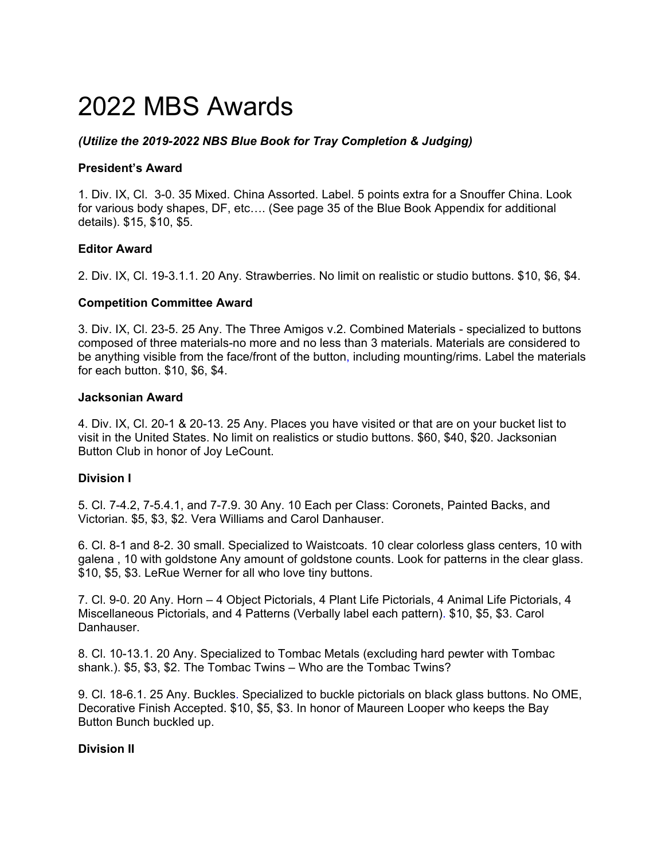# 2022 MBS Awards

# *(Utilize the 2019-2022 NBS Blue Book for Tray Completion & Judging)*

## **President's Award**

1. Div. IX, Cl. 3-0. 35 Mixed. China Assorted. Label. 5 points extra for a Snouffer China. Look for various body shapes, DF, etc…. (See page 35 of the Blue Book Appendix for additional details). \$15, \$10, \$5.

## **Editor Award**

2. Div. IX, Cl. 19-3.1.1. 20 Any. Strawberries. No limit on realistic or studio buttons. \$10, \$6, \$4.

## **Competition Committee Award**

3. Div. IX, Cl. 23-5. 25 Any. The Three Amigos v.2. Combined Materials - specialized to buttons composed of three materials-no more and no less than 3 materials. Materials are considered to be anything visible from the face/front of the button, including mounting/rims. Label the materials for each button. \$10, \$6, \$4.

#### **Jacksonian Award**

4. Div. IX, Cl. 20-1 & 20-13. 25 Any. Places you have visited or that are on your bucket list to visit in the United States. No limit on realistics or studio buttons. \$60, \$40, \$20. Jacksonian Button Club in honor of Joy LeCount.

# **Division I**

5. Cl. 7-4.2, 7-5.4.1, and 7-7.9. 30 Any. 10 Each per Class: Coronets, Painted Backs, and Victorian. \$5, \$3, \$2. Vera Williams and Carol Danhauser.

6. Cl. 8-1 and 8-2. 30 small. Specialized to Waistcoats. 10 clear colorless glass centers, 10 with galena , 10 with goldstone Any amount of goldstone counts. Look for patterns in the clear glass. \$10, \$5, \$3. LeRue Werner for all who love tiny buttons.

7. Cl. 9-0. 20 Any. Horn – 4 Object Pictorials, 4 Plant Life Pictorials, 4 Animal Life Pictorials, 4 Miscellaneous Pictorials, and 4 Patterns (Verbally label each pattern). \$10, \$5, \$3. Carol Danhauser.

8. Cl. 10-13.1. 20 Any. Specialized to Tombac Metals (excluding hard pewter with Tombac shank.). \$5, \$3, \$2. The Tombac Twins – Who are the Tombac Twins?

9. Cl. 18-6.1. 25 Any. Buckles. Specialized to buckle pictorials on black glass buttons. No OME, Decorative Finish Accepted. \$10, \$5, \$3. In honor of Maureen Looper who keeps the Bay Button Bunch buckled up.

# **Division II**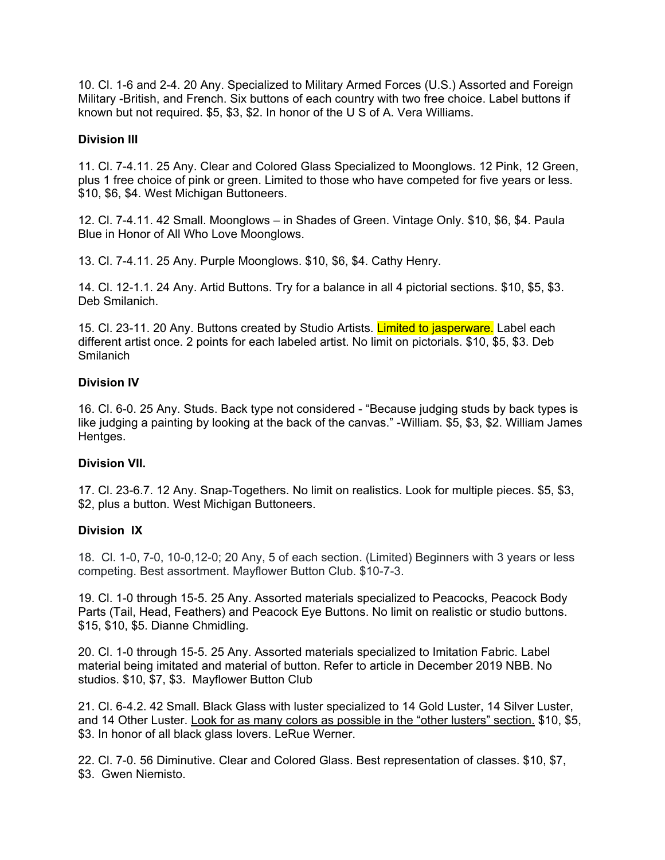10. Cl. 1-6 and 2-4. 20 Any. Specialized to Military Armed Forces (U.S.) Assorted and Foreign Military -British, and French. Six buttons of each country with two free choice. Label buttons if known but not required. \$5, \$3, \$2. In honor of the U S of A. Vera Williams.

## **Division III**

11. Cl. 7-4.11. 25 Any. Clear and Colored Glass Specialized to Moonglows. 12 Pink, 12 Green, plus 1 free choice of pink or green. Limited to those who have competed for five years or less. \$10, \$6, \$4. West Michigan Buttoneers.

12. Cl. 7-4.11. 42 Small. Moonglows – in Shades of Green. Vintage Only. \$10, \$6, \$4. Paula Blue in Honor of All Who Love Moonglows.

13. Cl. 7-4.11. 25 Any. Purple Moonglows. \$10, \$6, \$4. Cathy Henry.

14. Cl. 12-1.1. 24 Any. Artid Buttons. Try for a balance in all 4 pictorial sections. \$10, \$5, \$3. Deb Smilanich.

15. Cl. 23-11. 20 Any. Buttons created by Studio Artists. Limited to jasperware. Label each different artist once. 2 points for each labeled artist. No limit on pictorials. \$10, \$5, \$3. Deb Smilanich

### **Division IV**

16. Cl. 6-0. 25 Any. Studs. Back type not considered - "Because judging studs by back types is like judging a painting by looking at the back of the canvas." -William. \$5, \$3, \$2. William James Hentges.

#### **Division VII.**

17. Cl. 23-6.7. 12 Any. Snap-Togethers. No limit on realistics. Look for multiple pieces. \$5, \$3, \$2, plus a button. West Michigan Buttoneers.

#### **Division IX**

18. Cl. 1-0, 7-0, 10-0,12-0; 20 Any, 5 of each section. (Limited) Beginners with 3 years or less competing. Best assortment. Mayflower Button Club. \$10-7-3.

19. Cl. 1-0 through 15-5. 25 Any. Assorted materials specialized to Peacocks, Peacock Body Parts (Tail, Head, Feathers) and Peacock Eye Buttons. No limit on realistic or studio buttons. \$15, \$10, \$5. Dianne Chmidling.

20. Cl. 1-0 through 15-5. 25 Any. Assorted materials specialized to Imitation Fabric. Label material being imitated and material of button. Refer to article in December 2019 NBB. No studios. \$10, \$7, \$3. Mayflower Button Club

21. Cl. 6-4.2. 42 Small. Black Glass with luster specialized to 14 Gold Luster, 14 Silver Luster, and 14 Other Luster. Look for as many colors as possible in the "other lusters" section. \$10, \$5, \$3. In honor of all black glass lovers. LeRue Werner.

22. Cl. 7-0. 56 Diminutive. Clear and Colored Glass. Best representation of classes. \$10, \$7, \$3. Gwen Niemisto.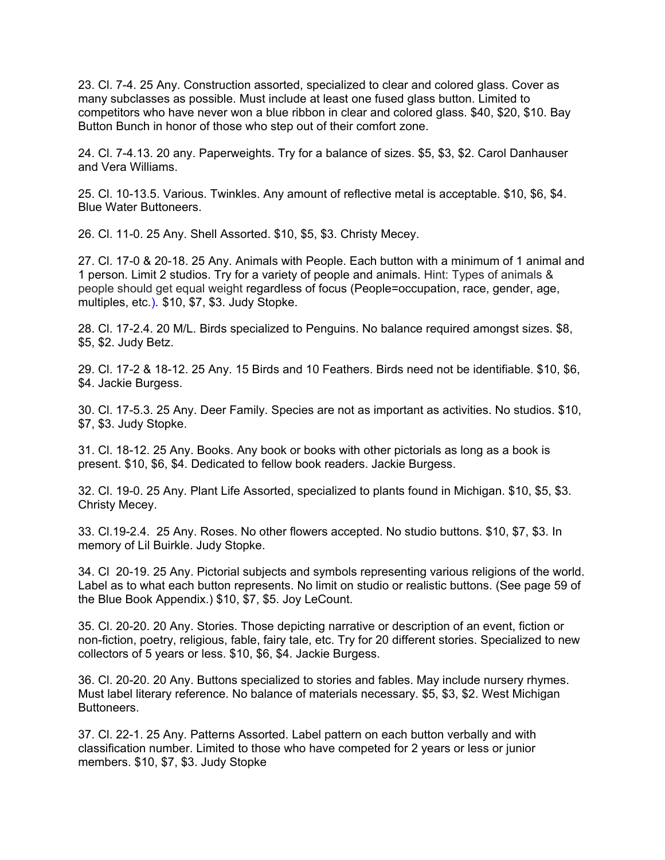23. Cl. 7-4. 25 Any. Construction assorted, specialized to clear and colored glass. Cover as many subclasses as possible. Must include at least one fused glass button. Limited to competitors who have never won a blue ribbon in clear and colored glass. \$40, \$20, \$10. Bay Button Bunch in honor of those who step out of their comfort zone.

24. Cl. 7-4.13. 20 any. Paperweights. Try for a balance of sizes. \$5, \$3, \$2. Carol Danhauser and Vera Williams.

25. Cl. 10-13.5. Various. Twinkles. Any amount of reflective metal is acceptable. \$10, \$6, \$4. Blue Water Buttoneers.

26. Cl. 11-0. 25 Any. Shell Assorted. \$10, \$5, \$3. Christy Mecey.

27. Cl. 17-0 & 20-18. 25 Any. Animals with People. Each button with a minimum of 1 animal and 1 person. Limit 2 studios. Try for a variety of people and animals. Hint: Types of animals & people should get equal weight regardless of focus (People=occupation, race, gender, age, multiples, etc.). \$10, \$7, \$3. Judy Stopke.

28. Cl. 17-2.4. 20 M/L. Birds specialized to Penguins. No balance required amongst sizes. \$8, \$5, \$2. Judy Betz.

29. Cl. 17-2 & 18-12. 25 Any. 15 Birds and 10 Feathers. Birds need not be identifiable. \$10, \$6, \$4. Jackie Burgess.

30. Cl. 17-5.3. 25 Any. Deer Family. Species are not as important as activities. No studios. \$10, \$7, \$3. Judy Stopke.

31. Cl. 18-12. 25 Any. Books. Any book or books with other pictorials as long as a book is present. \$10, \$6, \$4. Dedicated to fellow book readers. Jackie Burgess.

32. Cl. 19-0. 25 Any. Plant Life Assorted, specialized to plants found in Michigan. \$10, \$5, \$3. Christy Mecey.

33. Cl.19-2.4. 25 Any. Roses. No other flowers accepted. No studio buttons. \$10, \$7, \$3. In memory of Lil Buirkle. Judy Stopke.

34. Cl 20-19. 25 Any. Pictorial subjects and symbols representing various religions of the world. Label as to what each button represents. No limit on studio or realistic buttons. (See page 59 of the Blue Book Appendix.) \$10, \$7, \$5. Joy LeCount.

35. Cl. 20-20. 20 Any. Stories. Those depicting narrative or description of an event, fiction or non-fiction, poetry, religious, fable, fairy tale, etc. Try for 20 different stories. Specialized to new collectors of 5 years or less. \$10, \$6, \$4. Jackie Burgess.

36. Cl. 20-20. 20 Any. Buttons specialized to stories and fables. May include nursery rhymes. Must label literary reference. No balance of materials necessary. \$5, \$3, \$2. West Michigan Buttoneers.

37. Cl. 22-1. 25 Any. Patterns Assorted. Label pattern on each button verbally and with classification number. Limited to those who have competed for 2 years or less or junior members. \$10, \$7, \$3. Judy Stopke